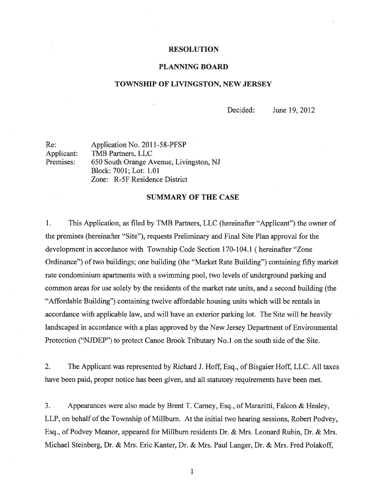## RESOLUTION

#### PLANNING BOARD

#### TOWNSHIP OF LIVINGSTON, NEW JERSEY

Decided: June 19, 2012

Re: Application No. 2011-58-PFSP Applicant: TMB Partners, LLC Premises: 650 South Orange Avenue, Livingston, NJ Block: 7001; Lot: 1.01 Zone: R-5F Residence District

## SUMMARY OF THE CASE

1. This Application, as filed by TMB Partners, LLC (hereinafter "Applicant") the owner of the premises (hereinafter "Site"), requests Preliminary and Final Site Plan approval for the development in accordance with Township Code Section 170-104.1 (hereinafter "Zone Ordinance") of two buildings; one building (the "Market Rate Building") containing fifty market rate condominium apartments with <sup>a</sup> swimming pool, two levels of underground parking and common areas for use solely by the residents of the market rate units, and a second building (the "Affordable Building") containing twelve affordable housing units which will be rentals in accordance with applicable law, and will have an exterior parking lot. The Site will be heavily landscaped in accordance with <sup>a</sup> plan approved by the New Jersey Department of Environmental Protection ("NJDEP") to protect Canoe Brook Tributary No.1 on the south side of the Site.

2. The Applicant was represented by Richard J. Hoff, Esq., of Bisgaier Hoff, LLC. All taxes have been paid, proper notice has been given, and all statutory requirements have been met.

3. Appearances were also made by Brent T. Carney, Esq., of Marazitti, Falcon & Healey, LLP, on behalf of the Township of Miliburn. At the initial two hearing sessions, Robert Podvey, Esq., of Podvey Meanor, appeared for Millbum residents Dr. & Mrs. Leonard Rubin, Dr. & Mrs. Michael Steinberg, Dr. & Mrs. Eric Kanter, Dr. & Mrs. Paul Langer, Dr. & Mrs. Fred Polakoff,

 $\mathbf{1}$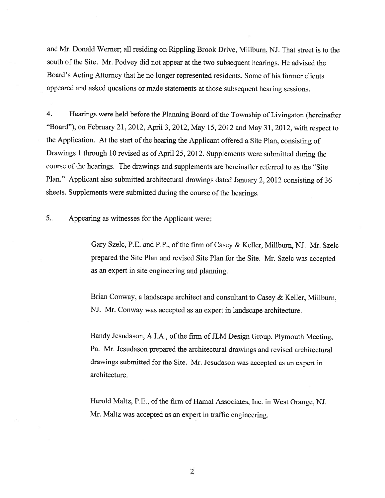and Mr. Donald Werner; all residing on Rippling Brook Drive, Milibum, NJ. That street is to the south of the Site. Mr. Podvey did not appear at the two subsequent hearings. He advised the Board's Acting Attorney that he no longer represented residents. Some of his former clients appeare<sup>d</sup> and asked questions or made statements at those subsequent hearing sessions.

4. Hearings were held before the Planning Board of the Township of Livingston (hereinafter "Board"), on February 21, 2012, April 3, 2012, May 15, <sup>2012</sup> and May 31, 2012, with respec<sup>t</sup> to the Application. At the start of the hearing the Applicant offered <sup>a</sup> Site Plan, consisting of Drawings <sup>1</sup> through <sup>10</sup> revised as of April 25, 2012. Supplements were submitted during the course of the hearings. The drawings and supplements are hereinafter referred to as the "Site Plan." Applicant also submitted architectural drawings dated January 2, <sup>2012</sup> consisting of <sup>36</sup> sheets. Supplements were submitted during the course of the hearings.

5. Appearing as witnesses for the Applicant were:

Gary Szelc, P.E. and P.P., of the firm of Casey & Keller, Miliburn, NJ. Mr. Szelc prepare<sup>d</sup> the Site Plan and revised Site Plan for the Site. Mr. Szelc was accepted as an exper<sup>t</sup> in site engineering and planning.

Brian Conway, <sup>a</sup> landscape architect and consultant to Casey & Keller, Miliburn, NJ. Mr. Conway was accepted as an exper<sup>t</sup> in landscape architecture.

Bandy Jesudason, A.I.A., of the firm of JLM Design Group, Plymouth Meeting, Pa. Mr. Jesudason prepared the architectural drawings and revised architectural drawings submitted for the Site. Mr. Jesudason was accepted as an exper<sup>t</sup> in architecture.

Harold Maltz, P.E., of the firm of Hamal Associates, Inc. in West Orange, NJ. Mr. Maltz was accepted as an exper<sup>t</sup> in traffic engineering.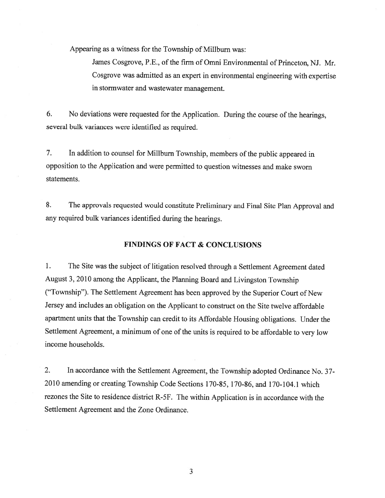Appearing as <sup>a</sup> witness for the Township of Miliburn was:

James Cosgrove, P.E., of the firm of Omni Environmental of Princeton, NJ. Mr. Cosgrove was admitted as an exper<sup>t</sup> in environmental engineering with expertise in stormwater and wastewater management.

6. No deviations were requested for the Application. During the course of the hearings, several bulk variances were identified as required.

7. In addition to counsel for Millbum Township, members of the public appeare<sup>d</sup> in opposition to the Application and were permitted to question witnesses and make sworn statements.

8. The approvals requested would constitute Preliminary and Final Site Plan Approval and any required bulk variances identified during the hearings.

## FINDINGS OF FACT & CONCLUSIONS

1. The Site was the subject of litigation resolved through <sup>a</sup> Settlement Agreement dated August 3, <sup>2010</sup> among the Applicant, the Planning Board and Livingston Township ("Township"). The Settlement Agreement has been approve<sup>d</sup> by the Superior Court of New Jersey and includes an obligation on the Applicant to construct on the Site twelve affordable apartment units that the Township can credit to its Affordable Housing obligations. Under the Settlement Agreement, <sup>a</sup> minimum of one of the units is required to be affordable to very low income households.

2. In accordance with the Settlement Agreement, the Township adopted Ordinance No. 37- 2010 amending or creating Township Code Sections 170-85, 170-86, and 170-104.1 which rezones the Site to residence district R-5F. The within Application is in accordance with the Settlement Agreement and the Zone Ordinance.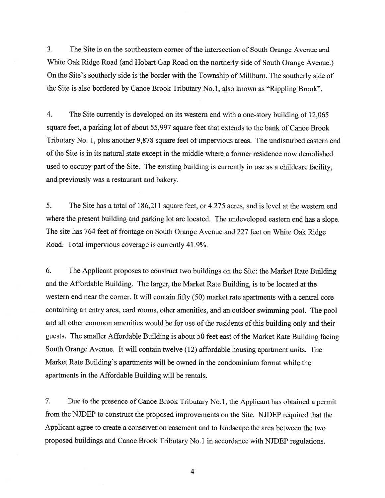3. The Site is on the southeastern corner of the intersection of South Orange Avenue and White Oak Ridge Road (and Hobart Gap Road on the northerly side of South Orange Avenue.) On the Site's southerly side is the border with the Township of Millburn. The southerly side of the Site is also bordered by Canoe Brook Tributary No.1, also known as "Rippling Brook".

4. The Site currently is developed on its western end with <sup>a</sup> one-story building of 12,065 square feet, <sup>a</sup> parking lot of about 55,997 square feet that extends to the bank of Canoe Brook Tributary No. 1, plus another 9,878 square feet of impervious areas. The undisturbed eastern end of the Site is in its natural state except in the middle where a former residence now demolished used to occupy par<sup>t</sup> of the Site. The existing building is currently in use as <sup>a</sup> childcare facility, and previously was <sup>a</sup> restaurant and bakery.

5. The Site has <sup>a</sup> total of 186,211 square feet, or 4.275 acres, and is level at the western end where the presen<sup>t</sup> building and parking lot are located. The undeveloped eastern end has <sup>a</sup> slope. The site has <sup>764</sup> feet of frontage on South Orange Avenue and <sup>227</sup> feet on White Oak Ridge Road. Total impervious coverage is currently 41.9%.

6. The Applicant proposes to construct two buildings on the Site: the Market Rate Building and the Affordable Building. The larger, the Market Rate Building, is to be located at the western end near the corner. It will contain fifty (50) market rate apartments with <sup>a</sup> central core containing an entry area, card rooms, other amenities, and an outdoor swimming pool. The poo<sup>l</sup> and all other common amenities would be for use of the residents of this building only and their guests. The smaller Affordable Building is about <sup>50</sup> feet east of the Market Rate Building facing South Orange Avenue. It will contain twelve (12) affordable housing apartment units. The Market Rate Building's apartments will be owned in the condominium format while the apartments in the Affordable Building will be rentals.

7. Due to the presence of Canoe Brook Tributary No.1, the Applicant has obtained <sup>a</sup> permit from the NJDEP to construct the propose<sup>d</sup> improvements on the Site. NJDEP required that the Applicant agree to create <sup>a</sup> conservation easement and to landscape the area between the two propose<sup>d</sup> buildings and Canoe Brook Tributary No.1 in accordance with NJDEP regulations.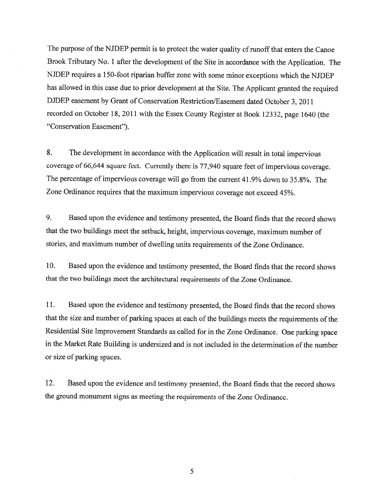The purpose of the NJDEP permit is to protect the water quality of runoff that enters the Canoe Brook Tributary No. <sup>1</sup> after the development of the Site in accordance with the Application. The NJDEP requires <sup>a</sup> 150-foot riparian buffer zone with some minor exceptions which the NJDEP has allowed in this case due to prior development at the Site. The Applicant granted the required DJDEP easement by Grant of Conservation Restriction/Easement dated October 3, 2011 recorded on October 18, <sup>2011</sup> with the Essex County Register at Book 12332, page <sup>1640</sup> (the "Conservation Easement").

8. The development in accordance with the Application will result in total impervious coverage of 66,644 square feet. Currently there is 77,940 square feet of impervious coverage. The percentage of impervious coverage will go from the current 41.9% down to 35.8%. The Zone Ordinance requires that the maximum impervious coverage not exceed 45%.

9. Based upon the evidence and testimony presented, the Board finds that the record shows that the two buildings meet the setback, height, impervious coverage, maximum number of stories, and maximum number of dwelling units requirements of the Zone Ordinance.

10. Based upon the evidence and testimony presented, the Board finds that the record shows that the two buildings meet the architectural requirements of the Zone Ordinance.

11. Based upon the evidence and testimony presented, the Board finds that the record shows that the size and number of parking spaces at each of the buildings meets the requirements of the Residential Site Improvement Standards as called for in the Zone Ordinance. One parking space in the Market Rate Building is undersized and is not included in the determination of the number or size of parking spaces.

12. Based upon the evidence and testimony presented, the Board finds that the record shows the groun<sup>d</sup> monument signs as meeting the requirements of the Zone Ordinance.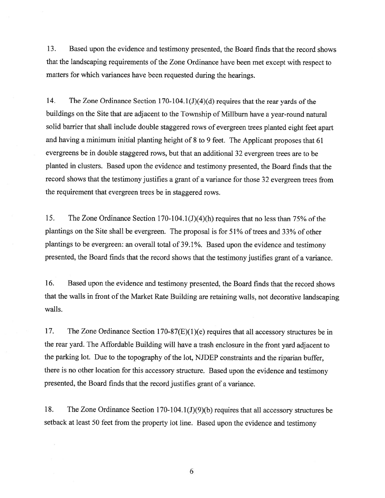13. Based upon the evidence and testimony presented, the Board finds that the record shows that the landscaping requirements of the Zone Ordinance have been met except with respect to matters for which variances have been requested during the hearings.

14. The Zone Ordinance Section 170-104.1(J)(4)(d) requires that the rear yards of the buildings on the Site that are adjacent to the Township of Miliburn have <sup>a</sup> year-roun<sup>d</sup> natural solid barrier that shall include double staggered rows of evergreen trees <sup>p</sup>lanted eight feet apar<sup>t</sup> and having <sup>a</sup> minimum initial <sup>p</sup>lanting height of <sup>8</sup> to <sup>9</sup> feet. The Applicant proposes that <sup>61</sup> evergreens be in double staggered rows, but that an additional 32 evergreen trees are to be <sup>p</sup>lanted in clusters. Based upon the evidence and testimony presented, the Board finds that the record shows that the testimony justifies <sup>a</sup> gran<sup>t</sup> of <sup>a</sup> variance for those <sup>32</sup> evergreen trees from the requirement that evergreen trees be in staggered rows.

15. The Zone Ordinance Section 170-104.1(J)(4)(h) requires that no less than 75% of the <sup>p</sup>lantings on the Site shall be evergreen. The proposal is for 51% of trees and 33% of other <sup>p</sup>lantings to be evergreen: an overall total of 39.1%. Based upon the evidence and testimony presented, the Board finds that the record shows that the testimony justifies gran<sup>t</sup> of <sup>a</sup> variance.

16. Based upon the evidence and testimony presented, the Board finds that the record shows that the walls in front of the Market Rate Building are retaining walls, not decorative landscaping walls.

17. The Zone Ordinance Section 170-87(E)(1)(e) requires that all accessory structures be in the rear yard. The Affordable Building will have <sup>a</sup> trash enclosure in the front yar<sup>d</sup> adjacent to the parking lot. Due to the topography of the lot, NJDEP constraints and the riparian buffer, there is no other location for this accessory structure. Based upon the evidence and testimony presented, the Board finds that the record justifies gran<sup>t</sup> of <sup>a</sup> variance.

18. The Zone Ordinance Section 170-104.1(J)(9)(b) requires that all accessory structures be setback at least <sup>50</sup> feet from the property lot line. Based upon the evidence and testimony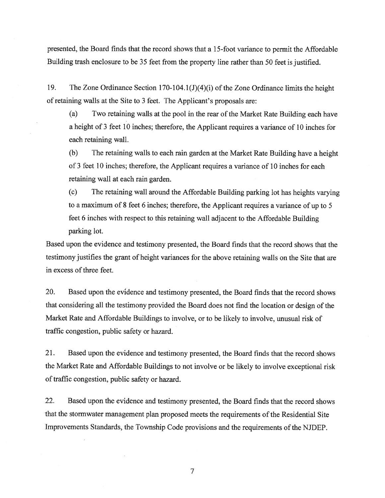presented, the Board finds that the record shows that <sup>a</sup> 15-foot variance to permit the Affordable Building trash enclosure to be 35 feet from the property line rather than 50 feet is justified.

19. The Zone Ordinance Section 170-104.1 (J)(4)(i) of the Zone Ordinance limits the height of retaining walls at the Site to 3 feet. The Applicant's proposals are:

(a) Two retaining walls at the pooi in the rear of the Market Rate Building each have <sup>a</sup> height of 3 feet 10 inches; therefore, the Applicant requires <sup>a</sup> variance of 10 inches for each retaining wall.

(b) The retaining walls to each rain garden at the Market Rate Building have <sup>a</sup> height of 3 feet 10 inches; therefore, the Applicant requires <sup>a</sup> variance of 10 inches for each retaining wall at each rain garden.

(c) The retaining wall around the Affordable Building parking lot has heights varying to <sup>a</sup> maximum of 8 feet <sup>6</sup> inches; therefore, the Applicant requires <sup>a</sup> variance of up to 5 feet <sup>6</sup> inches with respec<sup>t</sup> to this retaining wall adjacent to the Affordable Building parking lot.

Based upon the evidence and testimony presented, the Board finds that the record shows that the testimony justifies the gran<sup>t</sup> of height variances for the above retaining walls on the Site that are in excess of three feet.

20. Based upon the evidence and testimony presented, the Board finds that the record shows that considering all the testimony provided the Board does not find the location or design of the Market Rate and Affordable Buildings to involve, or to be likely to involve, unusual risk of traffic congestion, public safety or hazard.

21. Based upon the evidence and testimony presented, the Board finds that the record shows the Market Rate and Affordable Buildings to not involve or be likely to involve exceptional risk of traffic congestion, public safety or hazard.

22. Based upon the evidence and testimony presented, the Board finds that the record shows that the stormwater managemen<sup>t</sup> <sup>p</sup>lan proposed meets the requirements of the Residential Site Improvements Standards, the Township Code provisions and the requirements of the NJDEP.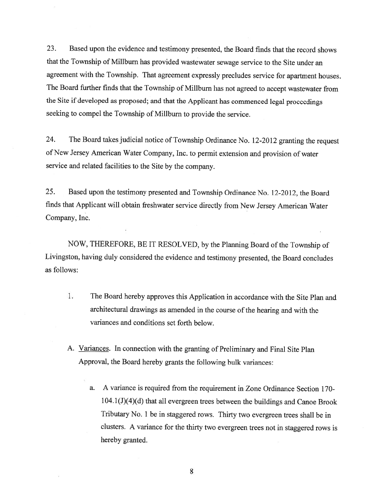23. Based upon the evidence and testimony presented, the Board finds that the record shows that the Township of Milibum has provided wastewater sewage service to the Site under an agreement with the Township. That agreement expressly precludes service for apartment houses. The Board further finds that the Township of Millburn has not agreed to accept wastewater from the Site if developed as proposed; and that the Applicant has commenced legal proceedings seeking to compe<sup>l</sup> the Township of Millburn to provide the service.

24. The Board takes judicial notice of Township Ordinance No. 12-2012 granting the request of New Jersey American Water Company, Inc. to permit extension and provision of water service and related facilities to the Site by the company.

25. Based upon the testimony presented and Township Ordinance No. 12-20 12, the Board finds that Applicant will obtain freshwater service directly from New Jersey American Water Company, Inc.

NOW, THEREFORE, BE IT RESOLVED, by the Planning Board of the Township of Livingston, having duly considered the evidence and testimony presented, the Board concludes as follows:

- 1. The Board hereby approves this Application in accordance with the Site Plan and architectural drawings as amended in the course of the hearing and with the variances and conditions set forth below.
- A. Variances. In connection with the granting of Preliminary and Final Site Plan Approval, the Board hereby grants the following bulk variances:
	- a. <sup>A</sup> variance is required from the requirement in Zone Ordinance Section 170-  $104.1$  (J)(4)(d) that all evergreen trees between the buildings and Canoe Brook Tributary No. <sup>1</sup> be in staggered rows. Thirty two evergreen trees shall be in clusters. <sup>A</sup> variance for the thirty two evergreen trees not in staggered rows is hereby granted.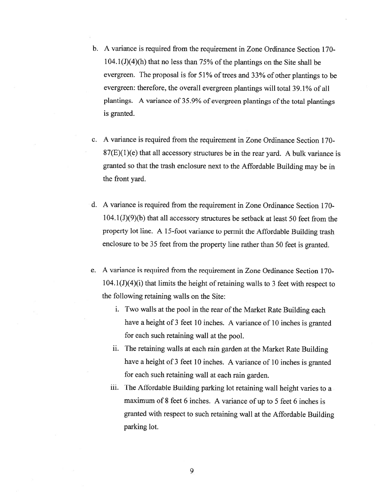- b. A variance is required from the requirement in Zone Ordinance Section 170-  $104.1$  (J)(4)(h) that no less than 75% of the plantings on the Site shall be evergreen. The proposa<sup>l</sup> is for 51% of trees and 33% of other <sup>p</sup>lantings to be evergreen: therefore, the overall evergreen plantings will total 39.1% of all plantings. A variance of 35.9% of evergreen plantings of the total plantings is granted.
- c. A variance is required from the requirement in Zone Ordinance Section 170-  $87(E)(1)(e)$  that all accessory structures be in the rear yard. A bulk variance is granted so that the trash enclosure next to the Affordable Building may be in the front yard.
- d. A variance is required from the requirement in Zone Ordinance Section 170- 104.1(J)(9)(b) that all accessory structures be setback at least 50 feet from the property lot line. <sup>A</sup> 15-foot variance to permit the Affordable Building trash enclosure to be <sup>35</sup> feet from the property line rather than <sup>50</sup> feet is granted.
- e. <sup>A</sup> variance is required from the requirement in Zone Ordinance Section 170-  $104.1$ (J)(4)(i) that limits the height of retaining walls to 3 feet with respect to the following retaining walls on the Site:
	- i. Two walls at the poo<sup>i</sup> in the rear of the Market Rate Building each have <sup>a</sup> height of <sup>3</sup> feet <sup>10</sup> inches. <sup>A</sup> variance of <sup>10</sup> inches is granted for each such retaining wall at the pooi.
	- ii. The retaining walls at each rain garden at the Market Rate Building have <sup>a</sup> height of <sup>3</sup> feet <sup>10</sup> inches. <sup>A</sup> variance of <sup>10</sup> inches is granted for each such retaining wall at each rain garden.
	- iii. The Affordable Building parking lot retaining wall height varies to <sup>a</sup> maximum of <sup>8</sup> feet <sup>6</sup> inches. <sup>A</sup> variance of up to <sup>5</sup> feet <sup>6</sup> inches is granted with respec<sup>t</sup> to such retaining wall at the Affordable Building parking lot.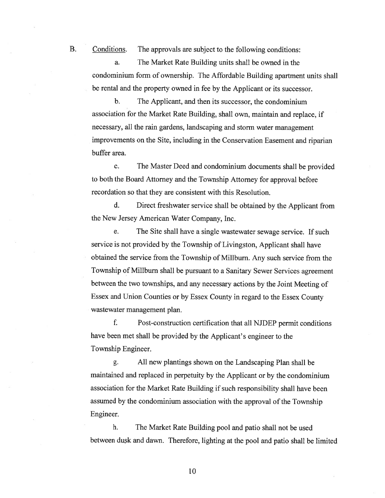B. Conditions. The approvals are subject to the following conditions:

a. The Market Rate Building units shall be owned in the condominium form of ownership. The Affordable Building apartment units shall be rental and the property owned in fee by the Applicant or its successor.

b. The Applicant, and then its successor, the condominium association for the Market Rate Building, shall own, maintain and replace, if necessary, all the rain gardens, landscaping and storm water managemen<sup>t</sup> improvements on the Site, including in the Conservation Easement and riparian buffer area.

c. The Master Deed and condominium documents shall be provided to both the Board Attorney and the Township Attorney for approval before recordation so that they are consistent with this Resolution.

d. Direct freshwater service shall be obtained by the Applicant from the New Jersey American Water Company, Inc.

e. The Site shall have <sup>a</sup> single wastewater sewage service. If such service is not provided by the Township of Livingston, Applicant shall have obtained the service from the Township of Miliburn. Any such service from the Township of Millburn shall be pursuan<sup>t</sup> to <sup>a</sup> Sanitary Sewer Services agreemen<sup>t</sup> between the two townships, and any necessary actions by the Joint Meeting of Essex and Union Counties or by Essex County in regar<sup>d</sup> to the Essex County wastewater managemen<sup>t</sup> plan.

f. Post-construction certification that all NJDEP permit conditions have been met shall be provided by the Applicant's engineer to the Township Engineer.

g. All new plantings shown on the Landscaping Plan shall be maintained and replaced in perpetuity by the Applicant or by the condominium association for the Market Rate Building if such responsibility shall have been assumed by the condominium association with the approval of the Township Engineer.

h. The Market Rate Building pool and patio shall not be used between dusk and dawn. Therefore, lighting at the poo<sup>l</sup> and patio shall be limited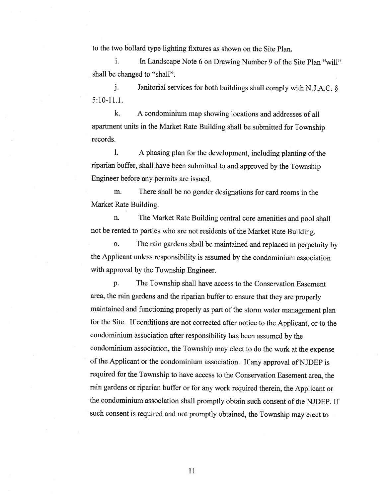to the two bollard type lighting fixtures as shown on the Site Plan.

i. In Landscape Note 6 on Drawing Number 9 of the Site Plan "will" shall be changed to "shall".

j. Janitorial services for both buildings shall comply with N.J.A.C. § 5:10-11.1.

k. <sup>A</sup> condominium map showing locations and addresses of all apartment units in the Market Rate Building shall be submitted for Township records.

1. A phasing plan for the development, including planting of the riparian buffer, shall have been submitted to and approved by the Township Engineer before any permits are issued.

m. There shall be no gender designations for card rooms in the Market Rate Building.

n. The Market Rate Building central core amenities and poo<sup>l</sup> shall not be rented to parties who are not residents of the Market Rate Building.

o. The rain gardens shall be maintained and replaced in perpetuity by the Applicant unless responsibility is assumed by the condominium association with approval by the Township Engineer.

p. The Township shall have access to the Conservation Easement area, the rain gardens and the riparian buffer to ensure that they are properly maintained and functioning properly as part of the storm water management <sup>p</sup>lan for the Site. If conditions are not corrected after notice to the Applicant, or to the condominium association after responsibility has been assumed by the condominium association, the Township may elect to do the work at the expense of the Applicant or the condominium association. If any approval of NJDEP is required for the Township to have access to the Conservation Easement area, the rain gardens or riparian buffer or for any work required therein, the Applicant or the condominium association shall promptly obtain such consent of the NJDEP. If such consent is required and not promptly obtained, the Township may elect to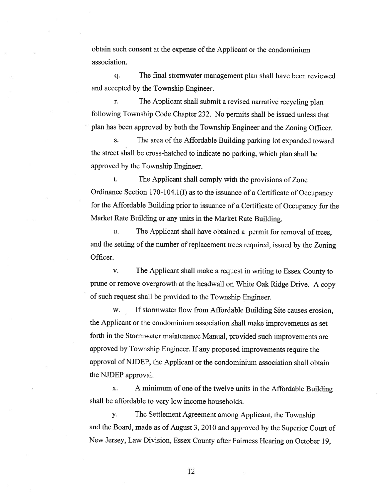obtain such consent at the expense of the Applicant or the condominium association.

q. The final stormwater managemen<sup>t</sup> <sup>p</sup>lan shall have been reviewed and accepted by the Township Engineer.

r. The Applicant shall submit <sup>a</sup> revised narrative recycling <sup>p</sup>lan following Township Code Chapter 232. No permits shall be issued unless that <sup>p</sup>lan has been approve<sup>d</sup> by both the Township Engineer and the Zoning Officer.

s. The area of the Affordable Building parking lot expanded toward the street shall be cross-hatched to indicate no parking, which <sup>p</sup>lan shall be approved by the Township Engineer.

t. The Applicant shall comply with the provisions of Zone Ordinance Section 170-104.1(I) as to the issuance of <sup>a</sup> Certificate of Occupancy for the Affordable Building prior to issuance of <sup>a</sup> Certificate of Occupancy for the Market Rate Building or any units in the Market Rate Building.

u. The Applicant shall have obtained a permit for removal of trees, and the setting of the number of replacement trees required, issued by the Zoning Officer.

v. The Applicant shall make <sup>a</sup> reques<sup>t</sup> in writing to Essex County to prune or remove overgrowth at the headwall on White Oak Ridge Drive. <sup>A</sup> copy of such reques<sup>t</sup> shall be provided to the Township Engineer.

w. If stormwater flow from Affordable Building Site causes erosion, the Applicant or the condominium association shall make improvements as set forth in the Stormwater maintenance Manual, provided such improvements are approve<sup>d</sup> by Township Engineer. If any propose<sup>d</sup> improvements require the approval of NJDEP, the Applicant or the condominium association shall obtain the NJDEP approval.

x. A minimum of one of the twelve units in the Affordable Building shall be affordable to very low income households.

y. The Settlement Agreement among Applicant, the Township and the Board, made as of August 3, <sup>2010</sup> and approve<sup>d</sup> by the Superior Court of New Jersey, Law Division, Essex County after Fairness Hearing on October 19,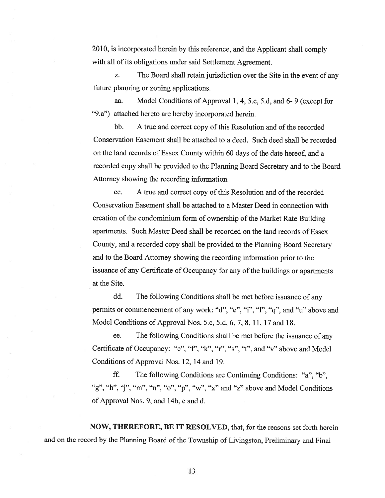2010, is incorporated herein by this reference, and the Applicant shall comply with all of its obligations under said Settlement Agreement.

z. The Board shall retain jurisdiction over the Site in the event of any future planning or zoning applications.

aa. Model Conditions of Approval 1, 4, 5.c, 5.d, and 6- 9 (except for "9.a") attached hereto are hereby incorporated herein.

bb. A true and correct copy of this Resolution and of the recorded Conservation Easement shall be attached to <sup>a</sup> deed. Such deed shall be recorded on the land records of Essex County within 60 days of the date hereof, and a recorded copy shall be provided to the Planning Board Secretary and to the Board Attorney showing the recording information.

cc. A true and correct copy of this Resolution and of the recorded Conservation Easement shall be attached to <sup>a</sup> Master Deed in connection with creation of the condominium form of ownership of the Market Rate Building apartments. Such Master Deed shall be recorded on the land records of Essex County, and <sup>a</sup> recorded copy shall be provided to the Planning Board Secretary and to the Board Attorney showing the recording information prior to the issuance of any Certificate of Occupancy for any of the buildings or apartments at the Site.

dd. The following Conditions shall be met before issuance of any permits or commencement of any work: "d", "e", "i", "1", "q", and "u" above and Model Conditions of Approval Nos. 5.c, 5.d, 6,7, 8, 11, 17 and 18.

ee. The following Conditions shall be met before the issuance of any Certificate of Occupancy: "c", "f", "k", "r", "s", "t", and "v" above and Model Conditions of Approval Nos. 12, 14 and 19.

if. The following Conditions are Continuing Conditions: "a", "b", "g", "h", "j", "m", "n", "o", "p", "w", "x" and "z" above and Model Conditions of Approval Nos. 9, and 14b, <sup>c</sup> and d.

NOW, THEREFORE, BE IT RESOLVED, that, for the reasons set forth herein and on the record by the Planning Board of the Township of Livingston, Preliminary and Final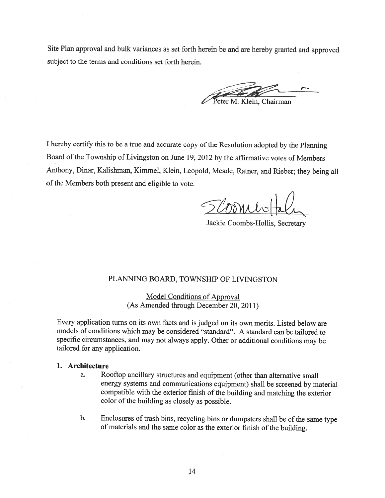Site Plan approval and bulk variances as set forth herein be and are hereby granted and approved subject to the terms and conditions set forth herein.

eter M. Klein, Chairman

<sup>I</sup> hereby certify this to be <sup>a</sup> true and accurate copy of the Resolution adopted by the Planning Board of the Township of Livingston on June 19, <sup>2012</sup> by the affirmative votes of Members Anthony, Dinar, Kalishman, Kimmel, Klein, Leopold, Meade, Ratner, and Rieber; they being all of the Members both present and eligible to vote.

Jackie Coombs-Hollis, Secretary

## PLANNING BOARD, TOWNSHIP OF LIVINGSTON

Model Conditions of Approval (As Amended through December 20, 2011)

Every application turns on its own facts and is judged on its own merits. Listed below are models of conditions which may be considered "standard". <sup>A</sup> standard can be tailored to specific circumstances, and may not always apply. Other or additional conditions may be tailored for any application.

#### 1. Architecture

- a. Rooftop ancillary structures and equipment (other than alternative small energy systems and communications equipment) shall be screened by material compatible with the exterior finish of the building and matching the exterior color of the building as closely as possible.
- b. Enclosures of trash bins, recycling bins or dumpsters shall be of the same type of materials and the same color as the exterior finish of the building.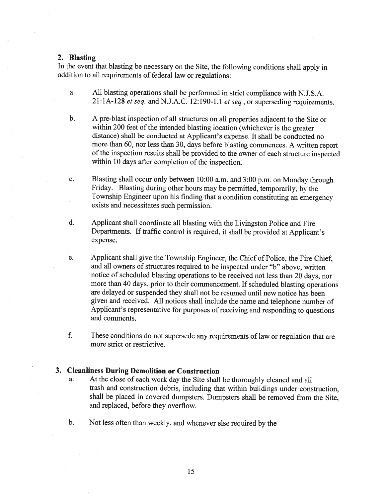#### 2. Blasting

In the event that blasting be necessary on the Site, the following conditions shall apply in addition to all requirements of federal law or regulations:

- a. All blasting operations shall be performed in strict compliance with N.J.S.A.  $21:1A-128$  et seq. and N.J.A.C. 12:190-1.1 et seq., or superseding requirements.
- b. <sup>A</sup> pre-blast inspection of all structures on all properties adjacent to the Site or within 200 feet of the intended blasting location (whichever is the greater distance) shall be conducted at Applicant's expense. It shall be conducted no more than 60, nor less than 30, days before blasting commences. <sup>A</sup> written repor<sup>t</sup> of the inspection results shall be provided to the owner of each structure inspected within 10 days after completion of the inspection.
- c. Blasting shall occur only between 10:00 a.m. and 3:00 p.m. on Monday through Friday. Blasting during other hours may be permitted, temporarily, by the Township Engineer upon his finding that <sup>a</sup> condition constituting an emergency exists and necessitates such permission.
- d. Applicant shall coordinate all blasting with the Livingston Police and Fire Departments. If traffic control is required, it shall be provided at Applicant's expense.
- e. Applicant shall <sup>g</sup>ive the Township Engineer, the Chief of Police, the Fire Chief, and all owners of structures required to be inspected under "b" above, written notice of scheduled blasting operations to be received not less than <sup>20</sup> days, nor more than <sup>40</sup> days, prior to their commencement. If scheduled blasting operations are delayed or suspended they shall not be resumed until new notice has been <sup>g</sup>iven and received. All notices shall include the name and telephone number of Applicant's representative for purposes of receiving and responding to questions and comments.
- f. These conditions do not supersede any requirements of law or regulation that are more strict or restrictive.

## 3. Cleanliness During Demolition or Construction

- a. At the close of each work day the Site shall be thoroughly cleaned and all trash and construction debris, including that within buildings under construction, shall be <sup>p</sup>laced in covered dumpsters. Dumpsters shall be removed from the Site, and replaced, before they overflow.
- b. Not less often than weekly, and whenever else required by the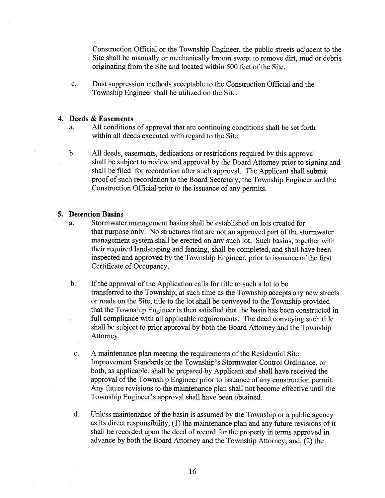Construction Official or the Township Engineer, the public streets adjacent to the Site shall be manually or mechanically broom swep<sup>t</sup> to remove dirt, mud or debris originating from the Site and located within 500 feet of the Site.

c. Dust suppression methods acceptable to the Construction Official and the Township Engineer shall be utilized on the Site.

# 4. Deeds & Easements

- a. All conditions of approval that are continuing conditions shall be set forth within all deeds executed with regard to the Site.
- b. All deeds, easements, dedications or restrictions required by this approval shall be subject to review and approva<sup>l</sup> by the Board Attorney prior to signing and shall be filed for recordation after such approval. The Applicant shall submit proo<sup>f</sup> of such recordation to the Board Secretary, the Township Engineer and the Construction Official prior to the issuance of any permits.

## 5. Detention Basins

- a. Stormwater managemen<sup>t</sup> basins shall be established on lots created for that purpose only. No structures that are not an approved par<sup>t</sup> of the stormwater managemen<sup>t</sup> system shall be erected on any such lot. Such basins, together with their required landscaping and fencing, shall be completed, and shall have been inspected and approved by the Township Engineer, prior to issuance of the first Certificate of Occupancy.
- b. If the approval of the Application calls for title to such <sup>a</sup> lot to be transferred to the Township; at such time as the Township accepts any new streets or roads on the Site, title to the lot shall be conveyed to the Township provided that the Township Engineer is then satisfied that the basin has been constructed in full compliance with all applicable requirements. The deed conveying such title shall be subject to prior approva<sup>l</sup> by both the Board Attorney and the Township Attorney.
- c. A maintenance plan meeting the requirements of the Residential Site Improvement Standards or the Township's Stormwater Control Ordinance, or both, as applicable, shall be prepared by Applicant and shall have received the approval of the Township Engineer prior to issuance of any construction permit. Any future revisions to the maintenance <sup>p</sup>lan shall not become effective until the Township Engineer's approval shall have been obtained.
- d. Unless maintenance of the basin is assumed by the Township or a public agency as its direct responsibility, (1) the maintenance <sup>p</sup>lan and any future revisions of it shall be recorded upon the deed of record for the property in terms approved in advance by both the Board Attorney and the Township Attorney; and, (2) the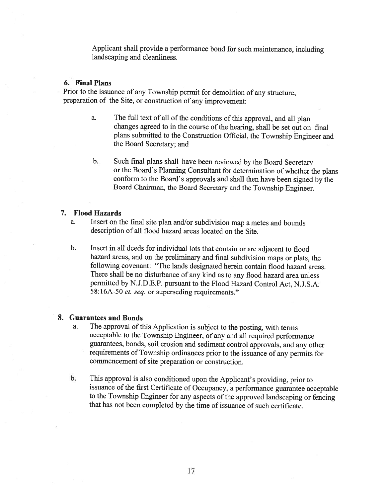Applicant shall provide <sup>a</sup> performance bond for such maintenance, including landscaping and cleanliness.

# 6. Final Plans

Prior to the issuance of any Township permit for demolition of any structure, preparation of the Site, or construction of any improvement:

- a. The full text of all of the conditions of this approval, and all plan changes agreed to in the course of the hearing, shall be set out on final <sup>p</sup>lans submitted to the Construction Official, the Township Engineer and the Board Secretary; and
- b. Such final <sup>p</sup>lans shall have been reviewed by the Board Secretary or the Board's Planning Consultant for determination of whether the <sup>p</sup>lans conform to the Board's approvals and shall then have been signed by the Board Chairman, the Board Secretary and the Township Engineer.

## 7. Flood Hazards

- a. Insert on the final site <sup>p</sup>lan and/or subdivision map <sup>a</sup> metes and bounds description of all flood hazard areas located on the Site.
- b. Insert in all deeds for individual lots that contain or are adjacent to flood hazard areas, and on the preliminary and final subdivision maps or <sup>p</sup>lats, the following covenant: "The lands designated herein contain flood hazard areas. There shall be no disturbance of any kind as to any flood hazard area unless permitted by N.J.D.E.P. pursuant to the Flood Hazard Control Act, N.J.S.A. 58:16A-50 et. seq. or superseding requirements."

#### 8. Guarantees and Bonds

- a. The approval of this Application is subject to the posting, with terms acceptable to the Township Engineer, of any and all required performance guarantees, bonds, soil erosion and sediment control approvals, and any other requirements of Township ordinances prior to the issuance of any permits for commencement of site preparation or construction.
- b. This approval is also conditioned upon the Applicant's providing, prior to issuance of the first Certificate of Occupancy, <sup>a</sup> performance guarantee acceptable to the Township Engineer for any aspects of the approved landscaping or fencing that has not been completed by the time of issuance of such certificate.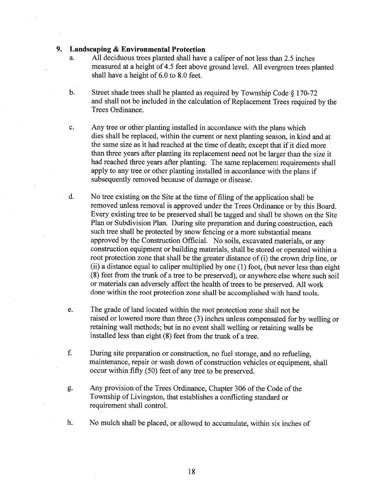# 9. Landscaping & Environmental Protection

- a. All deciduous trees <sup>p</sup>lanted shall have <sup>a</sup> caliper of not less than 2.5 inches measured at <sup>a</sup> height of 4.5 feet above groun<sup>d</sup> level. All evergreen trees <sup>p</sup>lanted shall have <sup>a</sup> height of 6.0 to 8.0 feet.
- b. Street shade trees shall be <sup>p</sup>lanted as required by Township Code § 170-72 and shall not be included in the calculation of Replacement Trees required by the Trees Ordinance.
- c. Any tree or other <sup>p</sup>lanting installed in accordance with the <sup>p</sup>lans which dies shall be replaced, within the current or next <sup>p</sup>lanting season, in kind and at the same size as it had reached at the time of death; excep<sup>t</sup> that if it died more than three years after <sup>p</sup>lanting its replacement need not be larger than the size it had reached three years after <sup>p</sup>lanting. The same replacement requirements shall apply to any tree or other <sup>p</sup>lanting installed in accordance with the <sup>p</sup>lans if subsequently removed because of damage or disease.
- d. No tree existing on the Site at the time of filing of the application shall be removed unless removal is approve<sup>d</sup> under the Trees Ordinance or by this Board. Every existing tree to be preserve<sup>d</sup> shall be tagged and shall be shown on the Site Plan or Subdivision Plan. During site preparation and during construction, each such tree shall be protected by snow fencing or <sup>a</sup> more substantial means approve<sup>d</sup> by the Construction Official. No soils, excavated materials, or any construction equipment or building materials, shall be stored or operated within <sup>a</sup> root protection zone that shall be the greater distance of (i) the crown drip line, or (ii) <sup>a</sup> distance equa<sup>l</sup> to caliper multiplied by one (1) foot, (but never less than eight (8) feet from the trunk of <sup>a</sup> tree to be preserved), or anywhere else where such soil or materials can adversely affect the health of trees to be preserved. All work done within the root protection zone shall be accomplished with hand tools.
- e. The grade of land located within the root protection zone shall not be raised or lowered more than three (3) inches unless compensated for by welling or retaining wall methods; but in no event shall welling or retaining walls be installed less than eight (8) feet from the trunk of <sup>a</sup> tree.
- f. During site preparation or construction, no fuel storage, and no refueling, maintenance, repair or wash down of construction vehicles or equipment, shall occur within fifty (50) feet of any tree to be preserved.
- g. Any provision of the Trees Ordinance, Chapter 306 of the Code of the Township of Livingston, that establishes <sup>a</sup> conflicting standard or requirement shall control.
- h. No mulch shall be placed, or allowed to accumulate, within six inches of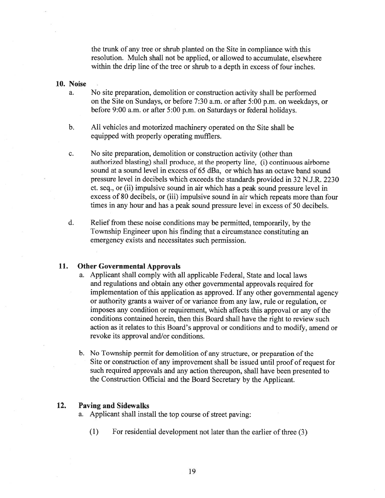the trunk of any tree or shrub planted on the Site in compliance with this resolution. Mulch shall not be applied, or allowed to accumulate, elsewhere within the drip line of the tree or shrub to <sup>a</sup> depth in excess of four inches.

#### 10. Noise

- a. No site preparation, demolition or construction activity shall be performed on the Site on Sundays, or before 7:30 a.m. or after 5:00 p.m. on weekdays, or before 9:00 a.m. or after 5:00 p.m. on Saturdays or federal holidays.
- b. All vehicles and motorized machinery operated on the Site shall be equipped with properly operating mufflers.
- c. No site preparation, demolition or construction activity (other than authorized blasting) shall produce, at the property line, (i) continuous airborne sound at <sup>a</sup> sound level in excess of 65 dBa, or which has an octave band sound pressure level in decibels which exceeds the standards provided in 32 N.J.R. 2230 et. seq., or (ii) impulsive sound in air which has <sup>a</sup> peak sound pressure level in excess of 80 decibels, or (iii) impulsive sound in air which repeats more than four times in any hour and has <sup>a</sup> peak sound pressure level in excess of 50 decibels.
- d. Relief from these noise conditions may be permitted, temporarily, by the Township Engineer upon his finding that <sup>a</sup> circumstance constituting an emergency exists and necessitates such permission.

# 11. Other Governmental Approvals

- a. Applicant shall comply with all applicable Federal, State and local laws and regulations and obtain any other governmental approvals required for implementation of this application as approved. If any other governmental agency or authority grants <sup>a</sup> waiver of or variance from any law, rule or regulation, or imposes any condition or requirement, which affects this approval or any of the conditions contained herein, then this Board shall have the right to review such action as it relates to this Board's approva<sup>l</sup> or conditions and to modify, amend or revoke its approval and/or conditions.
- b. No Township permit for demolition of any structure, or preparation of the Site or construction of any improvement shall be issued until proo<sup>f</sup> of reques<sup>t</sup> for such required approvals and any action thereupon, shall have been presented to the Construction Official and the Board Secretary by the Applicant.

# 12. Paving and Sidewalks

- a. Applicant shall install the top course of street paving:
	- $(1)$  For residential development not later than the earlier of three  $(3)$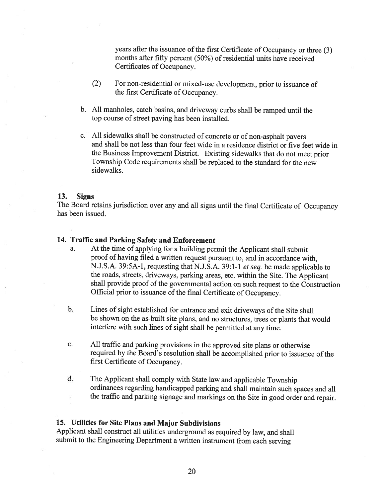years after the issuance of the first Certificate of Occupancy or three (3) months after fifty percent (50%) of residential units have received Certificates of Occupancy.

- (2) For non-residential or mixed-use development, prior to issuance of the first Certificate of Occupancy.
- b. All manholes, catch basins, and driveway curbs shall be ramped until the top course of street paving has been installed.
- c. All sidewalks shall be constructed of concrete or of non-asphalt payers and shall be not less than four feet wide in <sup>a</sup> residence district or five feet wide in the Business Improvement District. Existing sidewalks that do not meet prior Township Code requirements shall be replaced to the standard for the new sidewalks.

#### 13. Signs

The Board retains jurisdiction over any and all signs until the final Certificate of Occupancy has been issued.

# 14. Traffic and Parking Safety and Enforcement

- a. At the time of applying for <sup>a</sup> building permit the Applicant shall submit proof of having filed <sup>a</sup> written request pursuant to, and in accordance with, N.J.S.A. 39:5A-1, requesting that N.J.S.A. 39:1-1 et seq. be made applicable to the roads, streets, driveways, parking areas, etc. within the Site. The Applicant shall provide proof of the governmental action on such request to the Construction Official prior to issuance of the final Certificate of Occupancy.
- b. Lines of sight established for entrance and exit driveways of the Site shall be shown on the as-built site <sup>p</sup>lans, and no structures, trees or <sup>p</sup>lants that would interfere with such lines of sight shall be permitted at any time.
- c. All traffic and parking provisions in the approved site <sup>p</sup>lans or otherwise required by the Board's resolution shall be accomplished prior to issuance of the first Certificate of Occupancy.
- d. The Applicant shall comply with State law and applicable Township ordinances regarding handicapped parking and shall maintain such spaces and all the traffic and parking signage and markings on the Site in good order and repair.

# 15. Utilities for Site Plans and Major Subdivisions

Applicant shall construct all utilities underground as required by law, and shall submit to the Engineering Department <sup>a</sup> written instrument from each serving